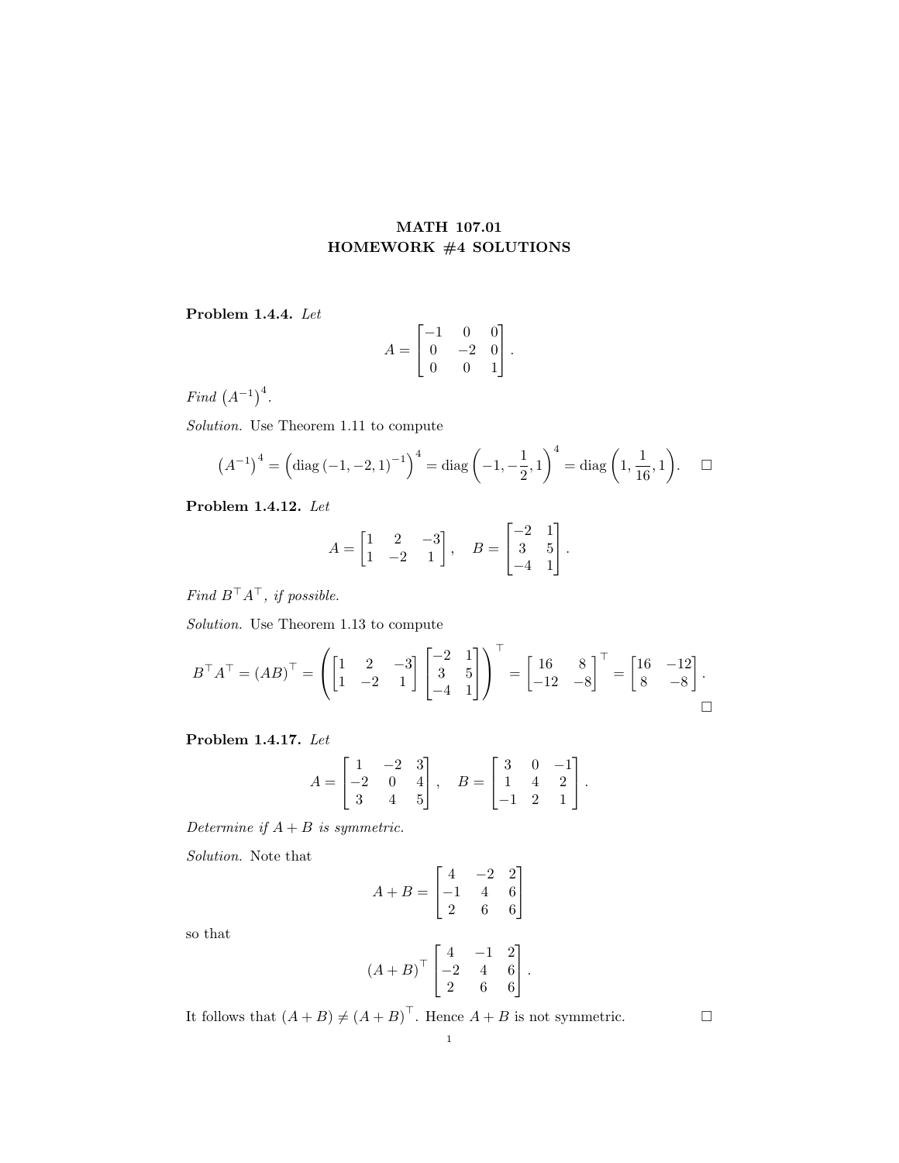## MATH 107.01 HOMEWORK #4 SOLUTIONS

## Problem 1.4.4. Let

$$
A = \begin{bmatrix} -1 & 0 & 0 \\ 0 & -2 & 0 \\ 0 & 0 & 1 \end{bmatrix}.
$$

Find  $(A^{-1})^4$ .

Solution. Use Theorem 1.11 to compute

$$
(A^{-1})^4 = \left(\text{diag}\left(-1, -2, 1\right)^{-1}\right)^4 = \text{diag}\left(-1, -\frac{1}{2}, 1\right)^4 = \text{diag}\left(1, \frac{1}{16}, 1\right). \quad \Box
$$

Problem 1.4.12. Let

$$
A = \begin{bmatrix} 1 & 2 & -3 \\ 1 & -2 & 1 \end{bmatrix}, \quad B = \begin{bmatrix} -2 & 1 \\ 3 & 5 \\ -4 & 1 \end{bmatrix}.
$$

 $Find\ B^\top A^\top,\ if\ possible.$ 

Solution. Use Theorem 1.13 to compute

$$
B^{\top}A^{\top} = (AB)^{\top} = \left( \begin{bmatrix} 1 & 2 & -3 \\ 1 & -2 & 1 \end{bmatrix} \begin{bmatrix} -2 & 1 \\ 3 & 5 \\ -4 & 1 \end{bmatrix} \right)^{\top} = \begin{bmatrix} 16 & 8 \\ -12 & -8 \end{bmatrix}^{\top} = \begin{bmatrix} 16 & -12 \\ 8 & -8 \end{bmatrix}.
$$

Problem 1.4.17. Let

$$
A = \begin{bmatrix} 1 & -2 & 3 \\ -2 & 0 & 4 \\ 3 & 4 & 5 \end{bmatrix}, \quad B = \begin{bmatrix} 3 & 0 & -1 \\ 1 & 4 & 2 \\ -1 & 2 & 1 \end{bmatrix}.
$$

Determine if  $A + B$  is symmetric.

Solution. Note that

$$
A + B = \begin{bmatrix} 4 & -2 & 2 \\ -1 & 4 & 6 \\ 2 & 6 & 6 \end{bmatrix}
$$

so that

$$
(A + B)^{\top} \begin{bmatrix} 4 & -1 & 2 \\ -2 & 4 & 6 \\ 2 & 6 & 6 \end{bmatrix}.
$$

It follows that  $(A + B) \neq (A + B)^{\top}$ . Hence  $A + B$  is not symmetric.